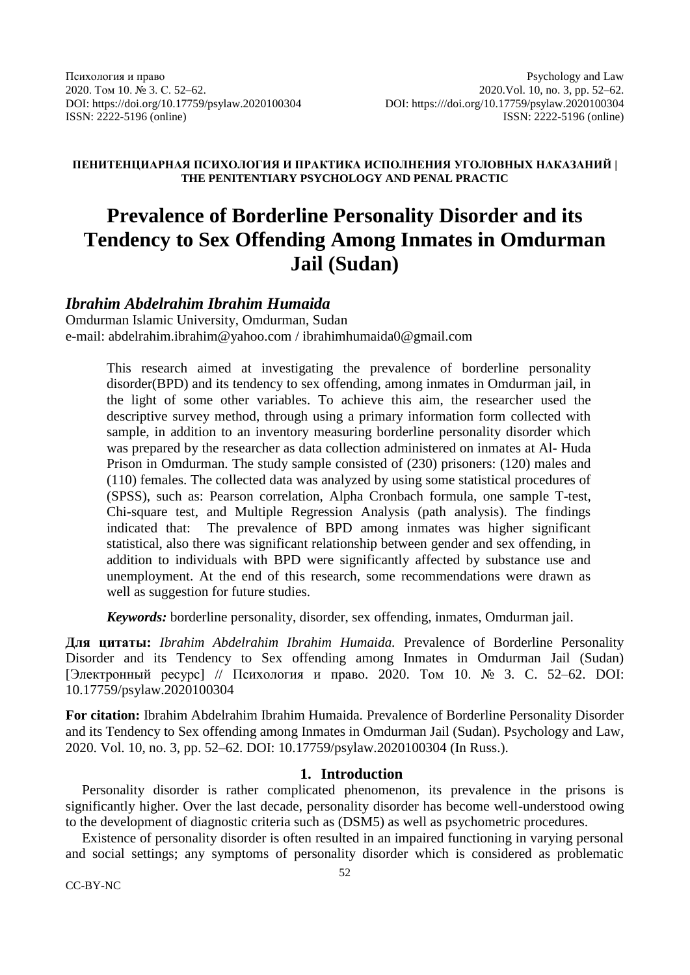### **ПЕНИТЕНЦИАРНАЯ ПСИХОЛОГИЯ И ПРАКТИКА ИСПОЛНЕНИЯ УГОЛОВНЫХ НАКАЗАНИЙ | THE PENITENTIARY PSYCHOLOGY AND PENAL PRACTIC**

# **Prevalence of Borderline Personality Disorder and its Tendency to Sex Offending Among Inmates in Omdurman Jail (Sudan)**

# *Ibrahim Abdelrahim Ibrahim Humaida*

Omdurman Islamic University, Omdurman, Sudan [e-mail: abdelrahim.ibrahim@yahoo.com](mailto:ivanov@yandex.ru) / ibrahimhumaida0@gmail.com

> This research aimed at investigating the prevalence of borderline personality disorder(BPD) and its tendency to sex offending, among inmates in Omdurman jail, in the light of some other variables. To achieve this aim, the researcher used the descriptive survey method, through using a primary information form collected with sample, in addition to an inventory measuring borderline personality disorder which was prepared by the researcher as data collection administered on inmates at Al- Huda Prison in Omdurman. The study sample consisted of (230) prisoners: (120) males and (110) females. The collected data was analyzed by using some statistical procedures of (SPSS), such as: Pearson correlation, Alpha Cronbach formula, one sample T-test, Chi-square test, and Multiple Regression Analysis (path analysis). The findings indicated that: The prevalence of BPD among inmates was higher significant statistical, also there was significant relationship between gender and sex offending, in addition to individuals with BPD were significantly affected by substance use and unemployment. At the end of this research, some recommendations were drawn as well as suggestion for future studies.

*Keywords:* borderline personality, disorder, sex offending, inmates, Omdurman jail.

**Для цитаты:** *Ibrahim Abdelrahim Ibrahim Humaida.* Prevalence of Borderline Personality Disorder and its Tendency to Sex offending among Inmates in Omdurman Jail (Sudan) [Электронный ресурс] // Психология и право. 2020. Том 10. № 3. C. 52–62. DOI: 10.17759/psylaw.2020100304

**For citation:** Ibrahim Abdelrahim Ibrahim Humaida*.* Prevalence of Borderline Personality Disorder and its Tendency to Sex offending among Inmates in Omdurman Jail (Sudan). Psychology and Law, 2020. Vol. 10, no. 3, pp. 52–62. DOI: 10.17759/psylaw.2020100304 (In Russ.).

### **1. Introduction**

Personality disorder is rather complicated phenomenon, its prevalence in the prisons is significantly higher. Over the last decade, personality disorder has become well-understood owing to the development of diagnostic criteria such as (DSM5) as well as psychometric procedures.

Existence of personality disorder is often resulted in an impaired functioning in varying personal and social settings; any symptoms of personality disorder which is considered as problematic

CC-BY-NC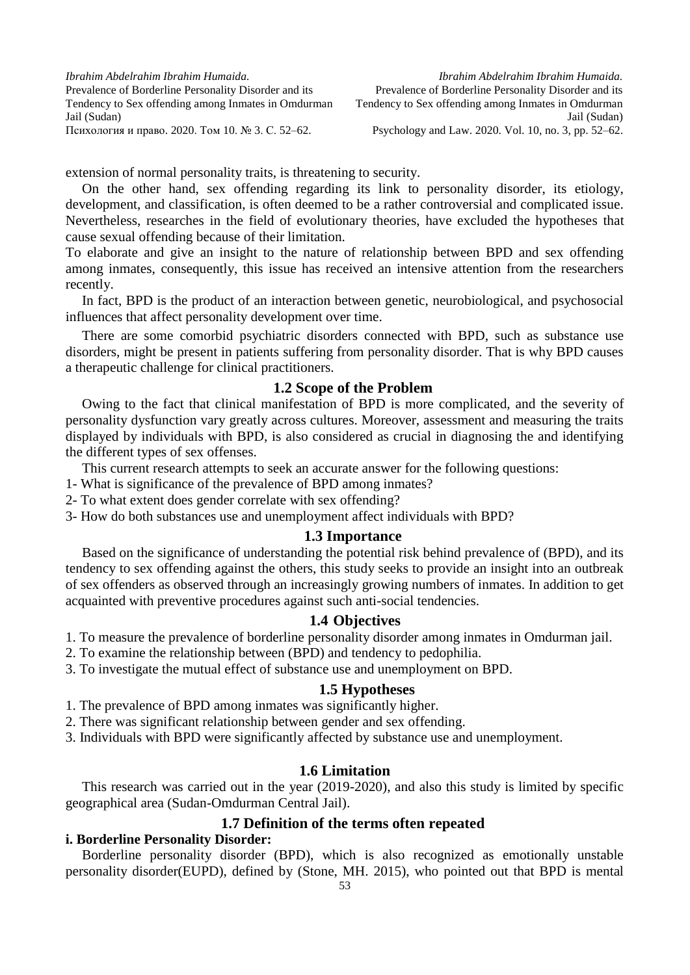extension of normal personality traits, is threatening to security.

On the other hand, sex offending regarding its link to personality disorder, its etiology, development, and classification, is often deemed to be a rather controversial and complicated issue. Nevertheless, researches in the field of evolutionary theories, have excluded the hypotheses that cause sexual offending because of their limitation.

To elaborate and give an insight to the nature of relationship between BPD and sex offending among inmates, consequently, this issue has received an intensive attention from the researchers recently.

In fact, BPD is the product of an interaction between genetic, neurobiological, and psychosocial influences that affect personality development over time.

There are some comorbid psychiatric disorders connected with BPD, such as substance use disorders, might be present in patients suffering from personality disorder. That is why BPD causes a therapeutic challenge for clinical practitioners.

# **1.2 Scope of the Problem**

Owing to the fact that clinical manifestation of BPD is more complicated, and the severity of personality dysfunction vary greatly across cultures. Moreover, assessment and measuring the traits displayed by individuals with BPD, is also considered as crucial in diagnosing the and identifying the different types of sex offenses.

This current research attempts to seek an accurate answer for the following questions:

- 1- What is significance of the prevalence of BPD among inmates?
- 2- To what extent does gender correlate with sex offending?

3- How do both substances use and unemployment affect individuals with BPD?

#### **1.3 Importance**

Based on the significance of understanding the potential risk behind prevalence of (BPD), and its tendency to sex offending against the others, this study seeks to provide an insight into an outbreak of sex offenders as observed through an increasingly growing numbers of inmates. In addition to get acquainted with preventive procedures against such anti-social tendencies.

#### **1.4 Objectives**

- 1. To measure the prevalence of borderline personality disorder among inmates in Omdurman jail.
- 2. To examine the relationship between (BPD) and tendency to pedophilia.
- 3. To investigate the mutual effect of substance use and unemployment on BPD.

# **1.5 Hypotheses**

- 1. The prevalence of BPD among inmates was significantly higher.
- 2. There was significant relationship between gender and sex offending.
- 3. Individuals with BPD were significantly affected by substance use and unemployment.

### **1.6 Limitation**

This research was carried out in the year (2019-2020), and also this study is limited by specific geographical area (Sudan-Omdurman Central Jail).

### **1.7 Definition of the terms often repeated**

#### **i. Borderline Personality Disorder:**

Borderline personality disorder (BPD), which is also recognized as emotionally unstable personality disorder(EUPD), defined by (Stone, MH. 2015), who pointed out that BPD is mental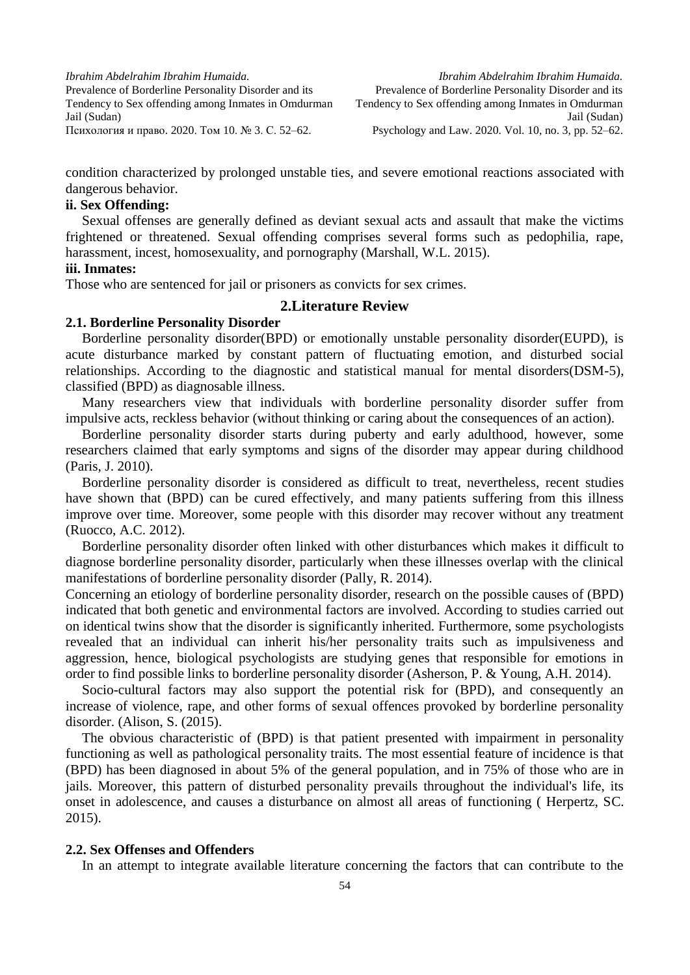*Ibrahim Abdelrahim Ibrahim Humaida.* Prevalence of Borderline Personality Disorder and its Tendency to Sex offending among Inmates in Omdurman Jail (Sudan)

Психология и право. 2020. Том 10. № 3. С. 52–62.

condition characterized by prolonged unstable ties, and severe emotional reactions associated with dangerous behavior.

### **ii. Sex Offending:**

Sexual offenses are generally defined as deviant sexual acts and assault that make the victims frightened or threatened. Sexual offending comprises several forms such as pedophilia, rape, harassment, incest, homosexuality, and pornography (Marshall, W.L. 2015).

#### **iii. Inmates:**

Those who are sentenced for jail or prisoners as convicts for sex crimes.

#### **2.Literature Review**

# **2.1. Borderline Personality Disorder**

Borderline personality disorder(BPD) or emotionally unstable personality disorder(EUPD), is acute disturbance marked by constant pattern of fluctuating emotion, and disturbed social relationships. According to the diagnostic and statistical manual for mental disorders(DSM-5), classified (BPD) as diagnosable illness.

Many researchers view that individuals with borderline personality disorder suffer from impulsive acts, reckless behavior (without thinking or caring about the consequences of an action).

Borderline personality disorder starts during puberty and early adulthood, however, some researchers claimed that early symptoms and signs of the disorder may appear during childhood (Paris, J. 2010).

Borderline personality disorder is considered as difficult to treat, nevertheless, recent studies have shown that (BPD) can be cured effectively, and many patients suffering from this illness improve over time. Moreover, some people with this disorder may recover without any treatment (Ruocco, A.C. 2012).

Borderline personality disorder often linked with other disturbances which makes it difficult to diagnose borderline personality disorder, particularly when these illnesses overlap with the clinical manifestations of borderline personality disorder (Pally, R. 2014).

Concerning an etiology of borderline personality disorder, research on the possible causes of (BPD) indicated that both genetic and environmental factors are involved. According to studies carried out on identical twins show that the disorder is significantly inherited. Furthermore, some psychologists revealed that an individual can inherit his/her personality traits such as impulsiveness and aggression, hence, biological psychologists are studying genes that responsible for emotions in order to find possible links to borderline personality disorder (Asherson, P. & Young, A.H. 2014).

Socio-cultural factors may also support the potential risk for (BPD), and consequently an increase of violence, rape, and other forms of sexual offences provoked by borderline personality disorder. (Alison, S. (2015).

The obvious characteristic of (BPD) is that patient presented with impairment in personality functioning as well as pathological personality traits. The most essential feature of incidence is that (BPD) has been diagnosed in about 5% of the general population, and in 75% of those who are in jails. Moreover, this pattern of disturbed personality prevails throughout the individual's life, its onset in adolescence, and causes a disturbance on almost all areas of functioning ( Herpertz, SC. 2015).

#### **2.2. Sex Offenses and Offenders**

In an attempt to integrate available literature concerning the factors that can contribute to the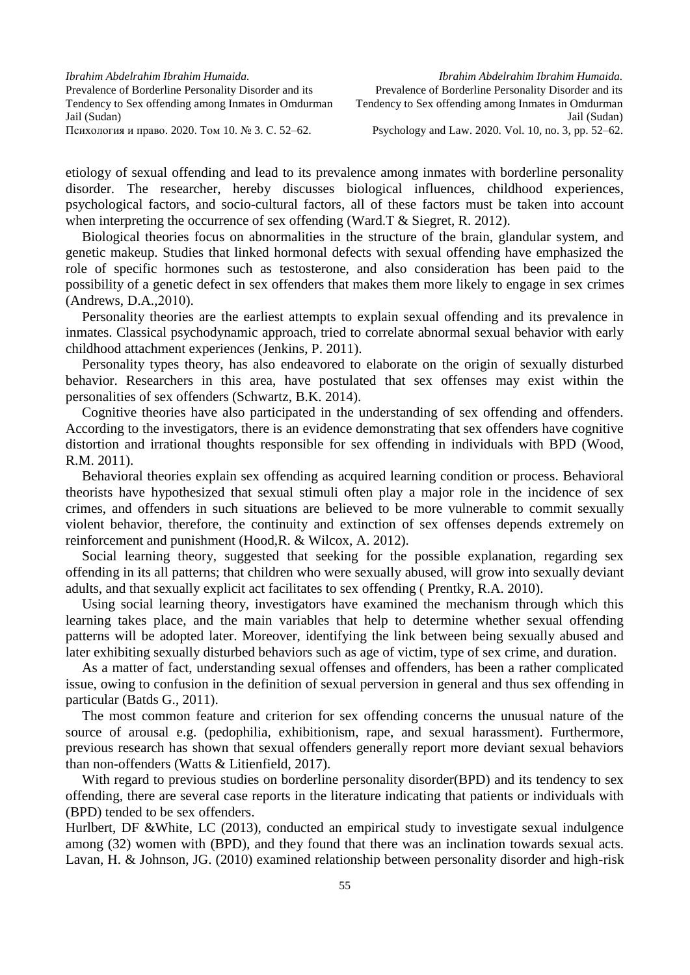etiology of sexual offending and lead to its prevalence among inmates with borderline personality disorder. The researcher, hereby discusses biological influences, childhood experiences, psychological factors, and socio-cultural factors, all of these factors must be taken into account when interpreting the occurrence of sex offending (Ward.T & Siegret, R. 2012).

Biological theories focus on abnormalities in the structure of the brain, glandular system, and genetic makeup. Studies that linked hormonal defects with sexual offending have emphasized the role of specific hormones such as testosterone, and also consideration has been paid to the possibility of a genetic defect in sex offenders that makes them more likely to engage in sex crimes  $(Andrews, D.A., 2010).$ 

Personality theories are the earliest attempts to explain sexual offending and its prevalence in inmates. Classical psychodynamic approach, tried to correlate abnormal sexual behavior with early childhood attachment experiences (Jenkins, P. 2011).

Personality types theory, has also endeavored to elaborate on the origin of sexually disturbed behavior. Researchers in this area, have postulated that sex offenses may exist within the personalities of sex offenders (Schwartz, B.K. 2014).

Cognitive theories have also participated in the understanding of sex offending and offenders. According to the investigators, there is an evidence demonstrating that sex offenders have cognitive distortion and irrational thoughts responsible for sex offending in individuals with BPD (Wood, R.M. 2011).

Behavioral theories explain sex offending as acquired learning condition or process. Behavioral theorists have hypothesized that sexual stimuli often play a major role in the incidence of sex crimes, and offenders in such situations are believed to be more vulnerable to commit sexually violent behavior, therefore, the continuity and extinction of sex offenses depends extremely on reinforcement and punishment (Hood,R. & Wilcox, A. 2012).

Social learning theory, suggested that seeking for the possible explanation, regarding sex offending in its all patterns; that children who were sexually abused, will grow into sexually deviant adults, and that sexually explicit act facilitates to sex offending ( Prentky, R.A. 2010).

Using social learning theory, investigators have examined the mechanism through which this learning takes place, and the main variables that help to determine whether sexual offending patterns will be adopted later. Moreover, identifying the link between being sexually abused and later exhibiting sexually disturbed behaviors such as age of victim, type of sex crime, and duration.

As a matter of fact, understanding sexual offenses and offenders, has been a rather complicated issue, owing to confusion in the definition of sexual perversion in general and thus sex offending in particular (Batds G., 2011).

The most common feature and criterion for sex offending concerns the unusual nature of the source of arousal e.g. (pedophilia, exhibitionism, rape, and sexual harassment). Furthermore, previous research has shown that sexual offenders generally report more deviant sexual behaviors than non-offenders (Watts & Litienfield, 2017).

With regard to previous studies on borderline personality disorder(BPD) and its tendency to sex offending, there are several case reports in the literature indicating that patients or individuals with (BPD) tended to be sex offenders.

Hurlbert, DF &White, LC (2013), conducted an empirical study to investigate sexual indulgence among (32) women with (BPD), and they found that there was an inclination towards sexual acts. Lavan, H. & Johnson, JG. (2010) examined relationship between personality disorder and high-risk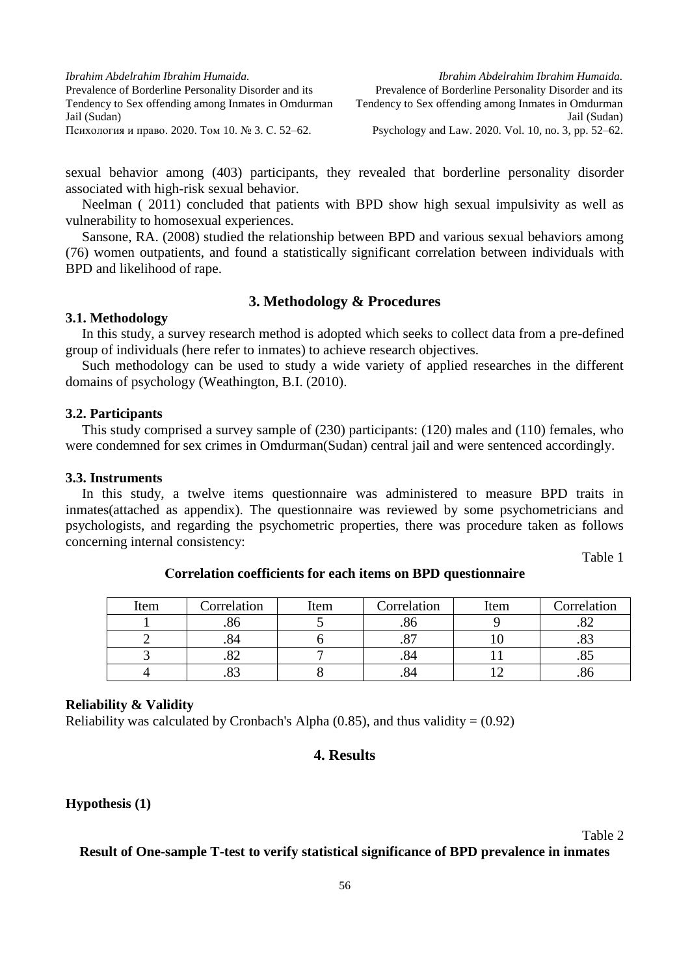sexual behavior among (403) participants, they revealed that borderline personality disorder associated with high-risk sexual behavior.

Neelman ( 2011) concluded that patients with BPD show high sexual impulsivity as well as vulnerability to homosexual experiences.

Sansone, RA. (2008) studied the relationship between BPD and various sexual behaviors among (76) women outpatients, and found a statistically significant correlation between individuals with BPD and likelihood of rape.

# **3. Methodology & Procedures**

#### **3.1. Methodology**

In this study, a survey research method is adopted which seeks to collect data from a pre-defined group of individuals (here refer to inmates) to achieve research objectives.

Such methodology can be used to study a wide variety of applied researches in the different domains of psychology (Weathington, B.I. (2010).

#### **3.2. Participants**

This study comprised a survey sample of (230) participants: (120) males and (110) females, who were condemned for sex crimes in Omdurman(Sudan) central jail and were sentenced accordingly.

#### **3.3. Instruments**

In this study, a twelve items questionnaire was administered to measure BPD traits in inmates(attached as appendix). The questionnaire was reviewed by some psychometricians and psychologists, and regarding the psychometric properties, there was procedure taken as follows concerning internal consistency:

Table 1

| Item | Correlation | Item | Correlation | Item | Correlation |
|------|-------------|------|-------------|------|-------------|
|      | .80         |      | .ou         |      | ے ت         |
|      | .84         |      |             |      | .00         |
|      | ے ت         |      |             |      | ره.         |
|      | .∪J         |      |             |      | .00         |

**Сorrelation coefficients for each items on BPD questionnaire**

#### **Reliability & Validity**

Reliability was calculated by Cronbach's Alpha  $(0.85)$ , and thus validity =  $(0.92)$ 

# **4. Results**

# **Hypothesis (1)**

Table 2

**Result of One-sample T-test to verify statistical significance of BPD prevalence in inmates**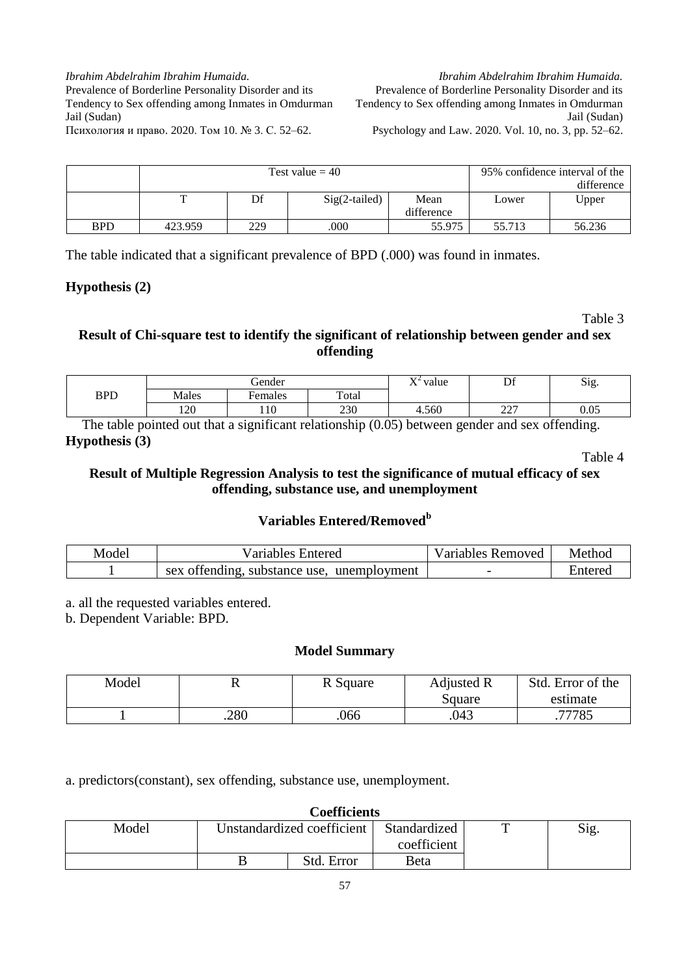*Ibrahim Abdelrahim Ibrahim Humaida.* Prevalence of Borderline Personality Disorder and its Tendency to Sex offending among Inmates in Omdurman Jail (Sudan) Psychology and Law. 2020. Vol. 10, no. 3, pp. 52–62.

|            |         | Test value $=$ 40 | 95% confidence interval of the |            |        |        |
|------------|---------|-------------------|--------------------------------|------------|--------|--------|
|            |         |                   |                                | difference |        |        |
|            |         | Df                | $Sig(2-tailed)$                | Mean       | Lower  | Upper  |
|            |         |                   |                                | difference |        |        |
| <b>BPD</b> | 423.959 | 229               | .000                           | 55.975     | 55.713 | 56.236 |

The table indicated that a significant prevalence of BPD (.000) was found in inmates.

### **Hypothesis (2)**

Table 3

# **Result of Chi-square test to identify the significant of relationship between gender and sex offending**

|            | <i>dender</i> |         |       | $\mathbf{V}^{\mathcal{L}}$<br>value |                       | $\sim$<br>$\mathrm{S12}$ . |
|------------|---------------|---------|-------|-------------------------------------|-----------------------|----------------------------|
| <b>BPD</b> | Males         | Females | Total |                                     |                       |                            |
|            | 120           | -10     | 230   | 4.560                               | $\sqrt{2}$<br>ا سامبا | 0.05                       |

The table pointed out that a significant relationship (0.05) between gender and sex offending. **Hypothesis (3)**

Table 4

# **Result of Multiple Regression Analysis to test the significance of mutual efficacy of sex offending, substance use, and unemployment**

# **Variables Entered/Removed<sup>b</sup>**

| Model | Variables Entered                          | <b>Removed</b><br>/ariables | Method  |
|-------|--------------------------------------------|-----------------------------|---------|
|       | sex offending, substance use, unemployment |                             | ≞nterec |

a. all the requested variables entered.

b. Dependent Variable: BPD.

#### **Model Summary**

| Model |      | R Square | Adjusted R<br>Square | Std. Error of the<br>estimate |
|-------|------|----------|----------------------|-------------------------------|
|       |      |          |                      |                               |
|       | .280 | .066     | .043                 | 77785                         |

a. predictors(constant), sex offending, substance use, unemployment.

| <b>Coefficients</b> |  |                            |              |  |      |  |  |  |
|---------------------|--|----------------------------|--------------|--|------|--|--|--|
| Model               |  | Unstandardized coefficient | Standardized |  | Sig. |  |  |  |
|                     |  |                            | coefficient  |  |      |  |  |  |
|                     |  | Std. Error                 | Beta         |  |      |  |  |  |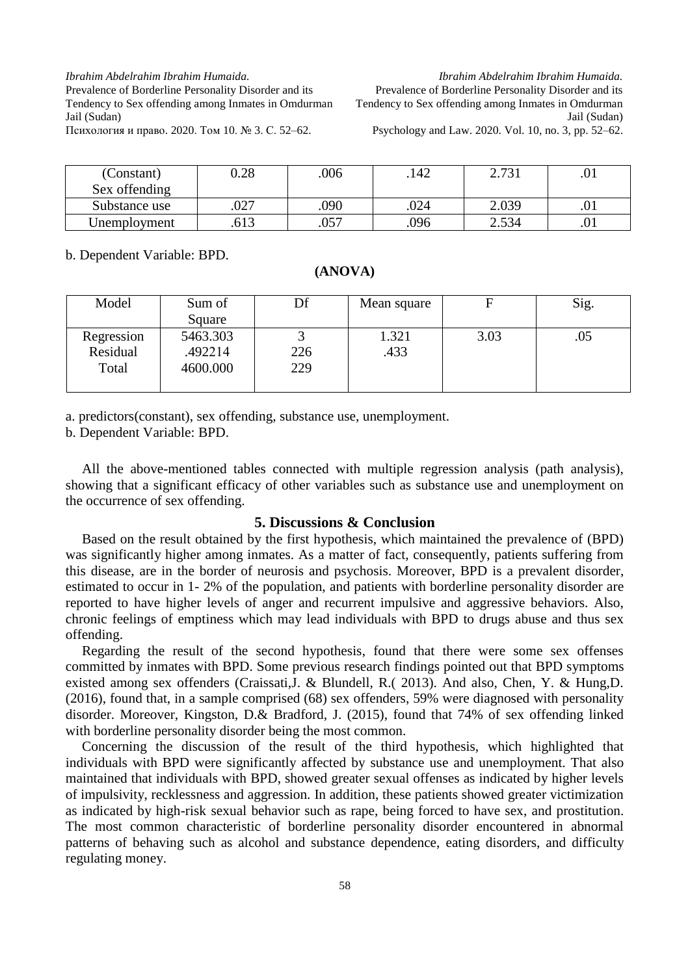*Ibrahim Abdelrahim Ibrahim Humaida.* Prevalence of Borderline Personality Disorder and its

Tendency to Sex offending among Inmates in Omdurman Jail (Sudan)

*Ibrahim Abdelrahim Ibrahim Humaida.* Prevalence of Borderline Personality Disorder and its Tendency to Sex offending among Inmates in Omdurman Jail (Sudan) Psychology and Law. 2020. Vol. 10, no. 3, pp. 52–62.

Психология и право. 2020. Том 10. № 3. С. 52–62.

| (Constant)<br>Sex offending | 0.28 | .006 | .142 | 2.731 | .UI |
|-----------------------------|------|------|------|-------|-----|
| Substance use               | .027 | .090 | .024 | 2.039 |     |
| Unemployment                | 613  | .057 | .096 | 2.534 | .v. |

b. Dependent Variable: BPD.

#### **(ANOVA)**

| Model      | Sum of   | Df  | Mean square | F    | Sig. |
|------------|----------|-----|-------------|------|------|
|            | Square   |     |             |      |      |
| Regression | 5463.303 |     | 1.321       | 3.03 | .05  |
| Residual   | .492214  | 226 | .433        |      |      |
| Total      | 4600.000 | 229 |             |      |      |
|            |          |     |             |      |      |

a. predictors(constant), sex offending, substance use, unemployment.

b. Dependent Variable: BPD.

All the above-mentioned tables connected with multiple regression analysis (path analysis), showing that a significant efficacy of other variables such as substance use and unemployment on the occurrence of sex offending.

#### **5. Discussions & Conclusion**

Based on the result obtained by the first hypothesis, which maintained the prevalence of (BPD) was significantly higher among inmates. As a matter of fact, consequently, patients suffering from this disease, are in the border of neurosis and psychosis. Moreover, BPD is a prevalent disorder, estimated to occur in 1- 2% of the population, and patients with borderline personality disorder are reported to have higher levels of anger and recurrent impulsive and aggressive behaviors. Also, chronic feelings of emptiness which may lead individuals with BPD to drugs abuse and thus sex offending.

Regarding the result of the second hypothesis, found that there were some sex offenses committed by inmates with BPD. Some previous research findings pointed out that BPD symptoms existed among sex offenders (Craissati,J. & Blundell, R.( 2013). And also, Chen, Y. & Hung,D. (2016), found that, in a sample comprised (68) sex offenders, 59% were diagnosed with personality disorder. Moreover, Kingston, D.& Bradford, J. (2015), found that 74% of sex offending linked with borderline personality disorder being the most common.

Concerning the discussion of the result of the third hypothesis, which highlighted that individuals with BPD were significantly affected by substance use and unemployment. That also maintained that individuals with BPD, showed greater sexual offenses as indicated by higher levels of impulsivity, recklessness and aggression. In addition, these patients showed greater victimization as indicated by high-risk sexual behavior such as rape, being forced to have sex, and prostitution. The most common characteristic of borderline personality disorder encountered in abnormal patterns of behaving such as alcohol and substance dependence, eating disorders, and difficulty regulating money.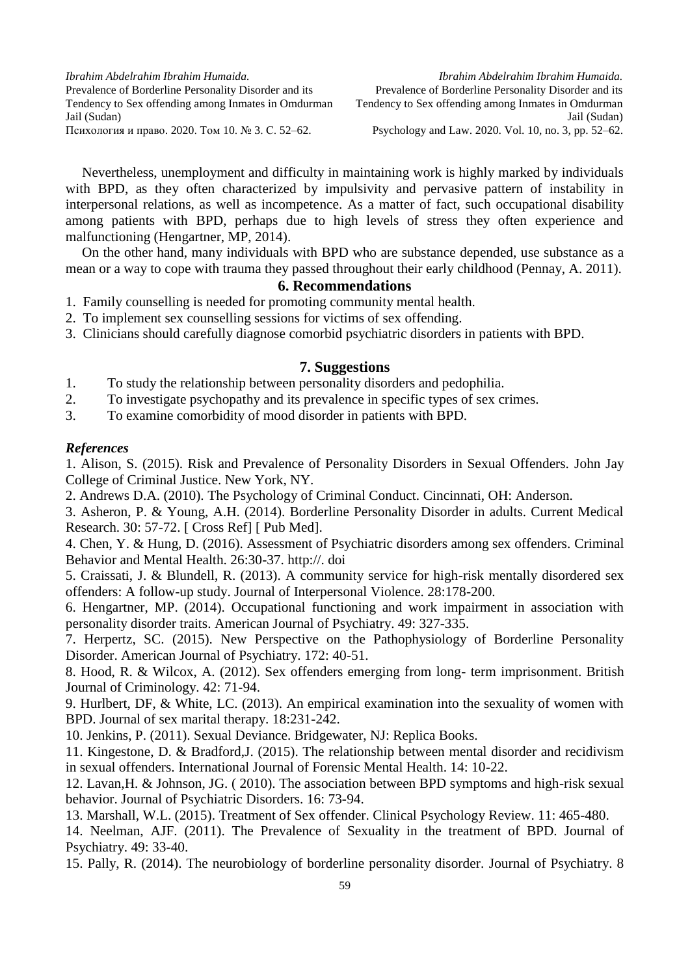Nevertheless, unemployment and difficulty in maintaining work is highly marked by individuals with BPD, as they often characterized by impulsivity and pervasive pattern of instability in interpersonal relations, as well as incompetence. As a matter of fact, such occupational disability among patients with BPD, perhaps due to high levels of stress they often experience and malfunctioning (Hengartner, MP, 2014).

On the other hand, many individuals with BPD who are substance depended, use substance as a mean or a way to cope with trauma they passed throughout their early childhood (Pennay, A. 2011).

# **6. Recommendations**

- 1. Family counselling is needed for promoting community mental health.
- 2. To implement sex counselling sessions for victims of sex offending.
- 3. Clinicians should carefully diagnose comorbid psychiatric disorders in patients with BPD.

# **7. Suggestions**

- 1. To study the relationship between personality disorders and pedophilia.
- 2. To investigate psychopathy and its prevalence in specific types of sex crimes.
- 3. To examine comorbidity of mood disorder in patients with BPD.

### *References*

1. Alison, S. (2015). Risk and Prevalence of Personality Disorders in Sexual Offenders. John Jay College of Criminal Justice. New York, NY.

2. Andrews D.A. (2010). The Psychology of Criminal Conduct. Cincinnati, OH: Anderson.

3. Asheron, P. & Young, A.H. (2014). Borderline Personality Disorder in adults. Current Medical Research. 30: 57-72. [ Cross Ref] [ Pub Med].

4. Chen, Y. & Hung, D. (2016). Assessment of Psychiatric disorders among sex offenders. Criminal Behavior and Mental Health. 26:30-37. http://. doi

5. Craissati, J. & Blundell, R. (2013). A community service for high-risk mentally disordered sex offenders: A follow-up study. Journal of Interpersonal Violence. 28:178-200.

6. Hengartner, MP. (2014). Occupational functioning and work impairment in association with personality disorder traits. American Journal of Psychiatry. 49: 327-335.

7. Herpertz, SC. (2015). New Perspective on the Pathophysiology of Borderline Personality Disorder. American Journal of Psychiatry. 172: 40-51.

8. Hood, R. & Wilcox, A. (2012). Sex offenders emerging from long- term imprisonment. British Journal of Criminology. 42: 71-94.

9. Hurlbert, DF, & White, LC. (2013). An empirical examination into the sexuality of women with BPD. Journal of sex marital therapy. 18:231-242.

10. Jenkins, P. (2011). Sexual Deviance. Bridgewater, NJ: Replica Books.

11. Kingestone, D. & Bradford,J. (2015). The relationship between mental disorder and recidivism in sexual offenders. International Journal of Forensic Mental Health. 14: 10-22.

12. Lavan,H. & Johnson, JG. ( 2010). The association between BPD symptoms and high-risk sexual behavior. Journal of Psychiatric Disorders. 16: 73-94.

13. Marshall, W.L. (2015). Treatment of Sex offender. Clinical Psychology Review. 11: 465-480.

14. Neelman, AJF. (2011). The Prevalence of Sexuality in the treatment of BPD. Journal of Psychiatry. 49: 33-40.

15. Pally, R. (2014). The neurobiology of borderline personality disorder. Journal of Psychiatry. 8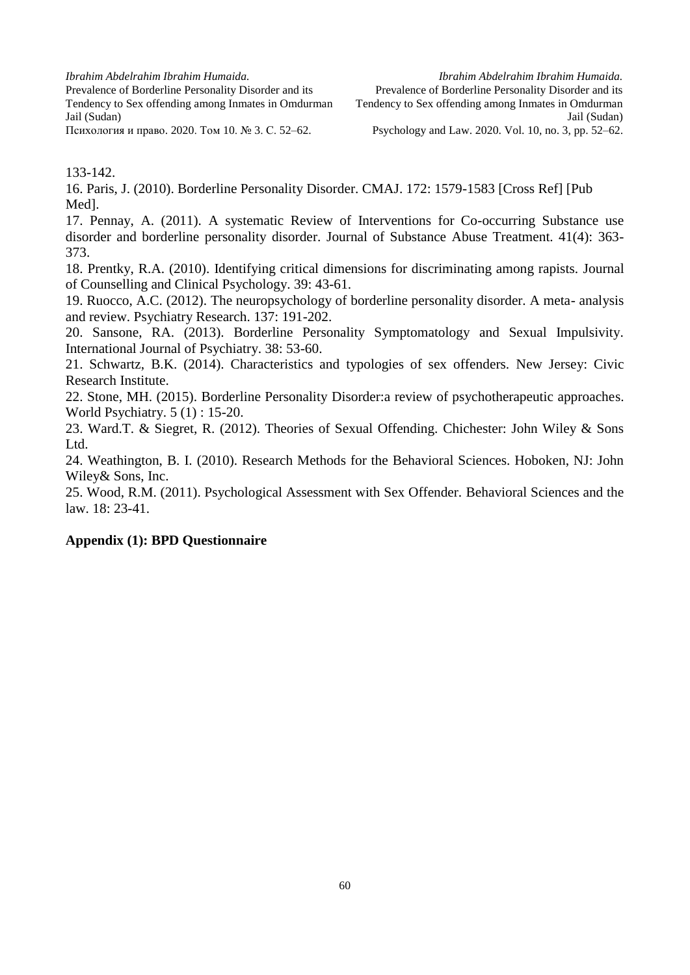*Ibrahim Abdelrahim Ibrahim Humaida.*

Prevalence of Borderline Personality Disorder and its Tendency to Sex offending among Inmates in Omdurman Jail (Sudan) Психология и право. 2020. Том 10. № 3. С. 52–62.

133-142.

16. Paris, J. (2010). Borderline Personality Disorder. CMAJ. 172: 1579-1583 [Cross Ref] [Pub Med].

17. Pennay, A. (2011). A systematic Review of Interventions for Co-occurring Substance use disorder and borderline personality disorder. Journal of Substance Abuse Treatment. 41(4): 363- 373.

18. Prentky, R.A. (2010). Identifying critical dimensions for discriminating among rapists. Journal of Counselling and Clinical Psychology. 39: 43-61.

19. Ruocco, A.C. (2012). The neuropsychology of borderline personality disorder. A meta- analysis and review. Psychiatry Research. 137: 191-202.

20. Sansone, RA. (2013). Borderline Personality Symptomatology and Sexual Impulsivity. International Journal of Psychiatry. 38: 53-60.

21. Schwartz, B.K. (2014). Characteristics and typologies of sex offenders. New Jersey: Civic Research Institute.

22. Stone, MH. (2015). Borderline Personality Disorder:a review of psychotherapeutic approaches. World Psychiatry. 5 (1) : 15-20.

23. Ward.T. & Siegret, R. (2012). Theories of Sexual Offending. Chichester: John Wiley & Sons Ltd.

24. Weathington, B. I. (2010). Research Methods for the Behavioral Sciences. Hoboken, NJ: John Wiley& Sons, Inc.

25. Wood, R.M. (2011). Psychological Assessment with Sex Offender. Behavioral Sciences and the law. 18: 23-41.

# **Appendix (1): BPD Questionnaire**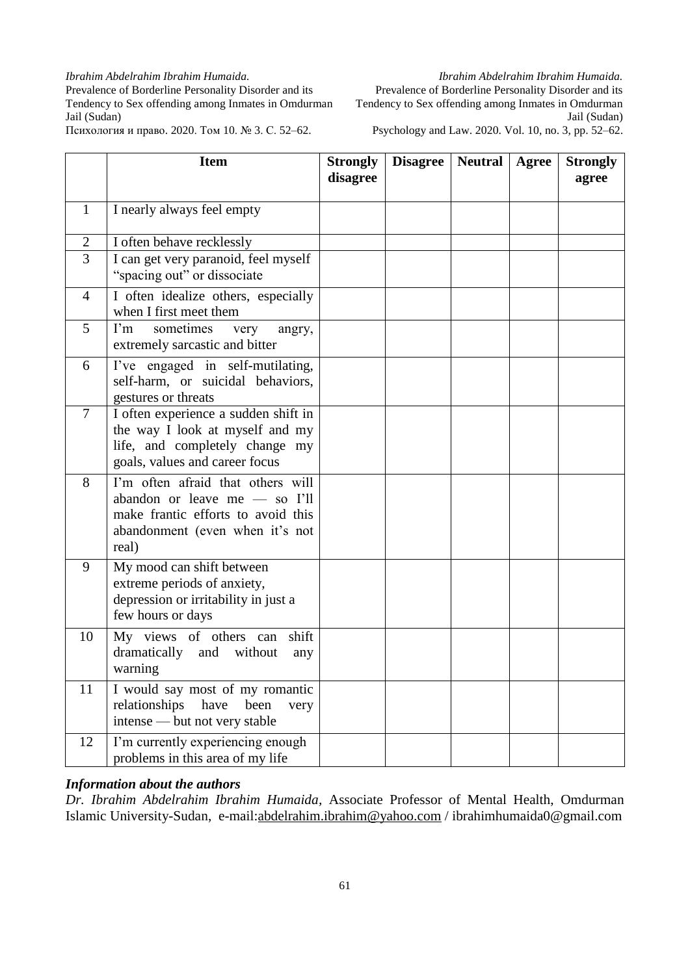#### *Ibrahim Abdelrahim Ibrahim Humaida.*

Prevalence of Borderline Personality Disorder and its Tendency to Sex offending among Inmates in Omdurman Jail (Sudan)

Психология и право. 2020. Том 10. № 3. С. 52–62.

*Ibrahim Abdelrahim Ibrahim Humaida.* Prevalence of Borderline Personality Disorder and its Tendency to Sex offending among Inmates in Omdurman Jail (Sudan) Psychology and Law. 2020. Vol. 10, no. 3, pp. 52–62.

|                | <b>Item</b>                                                                                                                                          | <b>Strongly</b><br>disagree | <b>Disagree</b> | <b>Neutral</b> | Agree | <b>Strongly</b><br>agree |
|----------------|------------------------------------------------------------------------------------------------------------------------------------------------------|-----------------------------|-----------------|----------------|-------|--------------------------|
| $\mathbf{1}$   | I nearly always feel empty                                                                                                                           |                             |                 |                |       |                          |
| $\overline{2}$ | I often behave recklessly                                                                                                                            |                             |                 |                |       |                          |
| 3              | I can get very paranoid, feel myself<br>"spacing out" or dissociate                                                                                  |                             |                 |                |       |                          |
| 4              | I often idealize others, especially<br>when I first meet them                                                                                        |                             |                 |                |       |                          |
| 5              | $\Gamma$ m<br>sometimes<br>very<br>angry,<br>extremely sarcastic and bitter                                                                          |                             |                 |                |       |                          |
| 6              | I've engaged in self-mutilating,<br>self-harm, or suicidal behaviors,<br>gestures or threats                                                         |                             |                 |                |       |                          |
| $\overline{7}$ | I often experience a sudden shift in<br>the way I look at myself and my<br>life, and completely change my<br>goals, values and career focus          |                             |                 |                |       |                          |
| 8              | I'm often afraid that others will<br>abandon or leave me - so I'll<br>make frantic efforts to avoid this<br>abandonment (even when it's not<br>real) |                             |                 |                |       |                          |
| 9              | My mood can shift between<br>extreme periods of anxiety,<br>depression or irritability in just a<br>few hours or days                                |                             |                 |                |       |                          |
| 10             | shift<br>My views of others can<br>dramatically and without<br>any<br>warning                                                                        |                             |                 |                |       |                          |
| 11             | I would say most of my romantic<br>relationships<br>have<br>been<br>very<br>intense - but not very stable                                            |                             |                 |                |       |                          |
| 12             | I'm currently experiencing enough<br>problems in this area of my life                                                                                |                             |                 |                |       |                          |

# *Information about the authors*

*Dr. Ibrahim Abdelrahim Ibrahim Humaida,* Associate Professor of Mental Health, Omdurman Islamic University-Sudan, e-mail[:abdelrahim.ibrahim@yahoo.com](mailto:Abdelrahim.ibrahim@yahoo.com) / ibrahimhumaida0@gmail.com